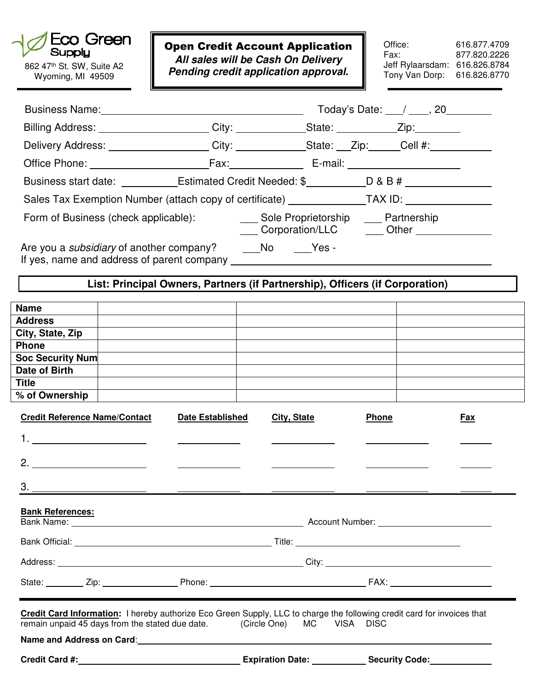

Wyoming, MI 49509

Open Credit Account Application **All sales will be Cash On Delivery Pending credit application approval.**<br>**Pending credit application approval.** 

Office: 616.877.4709<br>Fax: 877.820.2226 Fax: 877.820.2226 Jeff Rylaarsdam: 616.826.8784 Tony Van Dorp: 616.826.8770

|                                                                                                                                                                                                             |                                                                                                     |                         |                    |  |                                                                                              |  | Today's Date: $\angle$ ____, 20 |  |  |
|-------------------------------------------------------------------------------------------------------------------------------------------------------------------------------------------------------------|-----------------------------------------------------------------------------------------------------|-------------------------|--------------------|--|----------------------------------------------------------------------------------------------|--|---------------------------------|--|--|
| Billing Address: ______________________City: _____________State: ___________Zip: ________                                                                                                                   |                                                                                                     |                         |                    |  |                                                                                              |  |                                 |  |  |
|                                                                                                                                                                                                             | Delivery Address: ___________________City: _____________State: __Zip: _____Cell #: ________________ |                         |                    |  |                                                                                              |  |                                 |  |  |
|                                                                                                                                                                                                             |                                                                                                     |                         |                    |  |                                                                                              |  |                                 |  |  |
|                                                                                                                                                                                                             |                                                                                                     |                         |                    |  |                                                                                              |  |                                 |  |  |
| Business start date: ____________Estimated Credit Needed: \$___________D & B # _____________________<br>Sales Tax Exemption Number (attach copy of certificate) ______________TAX ID: _____________________ |                                                                                                     |                         |                    |  |                                                                                              |  |                                 |  |  |
| Form of Business (check applicable):                                                                                                                                                                        |                                                                                                     |                         |                    |  | ___ Sole Proprietorship ___ Partnership<br>____ Corporation/LLC ____ ___ Other _____________ |  |                                 |  |  |
| Are you a <i>subsidiary</i> of another company? No No Yes -                                                                                                                                                 |                                                                                                     |                         |                    |  |                                                                                              |  |                                 |  |  |
| List: Principal Owners, Partners (if Partnership), Officers (if Corporation)                                                                                                                                |                                                                                                     |                         |                    |  |                                                                                              |  |                                 |  |  |
| Name                                                                                                                                                                                                        |                                                                                                     |                         |                    |  |                                                                                              |  |                                 |  |  |
| <b>Address</b>                                                                                                                                                                                              |                                                                                                     |                         |                    |  |                                                                                              |  |                                 |  |  |
| City, State, Zip                                                                                                                                                                                            |                                                                                                     |                         |                    |  |                                                                                              |  |                                 |  |  |
| Phone                                                                                                                                                                                                       |                                                                                                     |                         |                    |  |                                                                                              |  |                                 |  |  |
| <b>Soc Security Num</b>                                                                                                                                                                                     |                                                                                                     |                         |                    |  |                                                                                              |  |                                 |  |  |
| Date of Birth                                                                                                                                                                                               |                                                                                                     |                         |                    |  |                                                                                              |  |                                 |  |  |
| <b>Title</b><br>% of Ownership                                                                                                                                                                              |                                                                                                     |                         |                    |  |                                                                                              |  |                                 |  |  |
| <b>Credit Reference Name/Contact</b>                                                                                                                                                                        |                                                                                                     | <b>Date Established</b> | <b>City, State</b> |  | Phone                                                                                        |  | Fax                             |  |  |
|                                                                                                                                                                                                             |                                                                                                     |                         |                    |  |                                                                                              |  |                                 |  |  |
| 2. $\qquad \qquad$                                                                                                                                                                                          |                                                                                                     |                         |                    |  |                                                                                              |  |                                 |  |  |
| З.                                                                                                                                                                                                          |                                                                                                     |                         |                    |  |                                                                                              |  |                                 |  |  |
| <b>Bank References:</b>                                                                                                                                                                                     |                                                                                                     |                         |                    |  |                                                                                              |  |                                 |  |  |
|                                                                                                                                                                                                             |                                                                                                     |                         |                    |  |                                                                                              |  |                                 |  |  |
|                                                                                                                                                                                                             |                                                                                                     |                         |                    |  |                                                                                              |  |                                 |  |  |
|                                                                                                                                                                                                             |                                                                                                     |                         |                    |  |                                                                                              |  |                                 |  |  |
| Credit Card Information: I hereby authorize Eco Green Supply, LLC to charge the following credit card for invoices that<br>remain unpaid 45 days from the stated due date. (Circle One) MC VISA DISC        |                                                                                                     |                         |                    |  |                                                                                              |  |                                 |  |  |